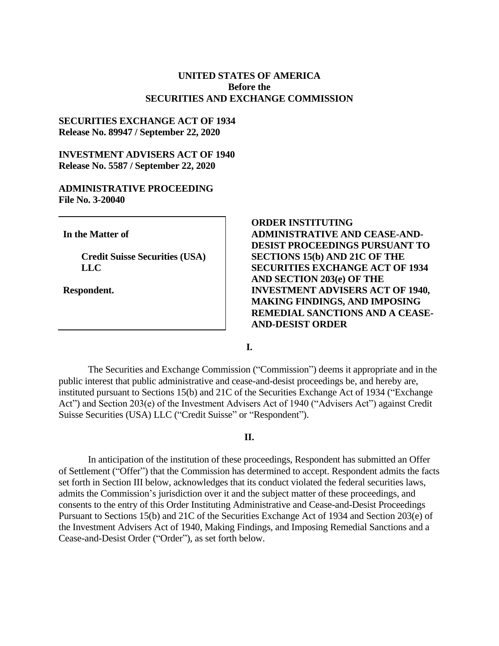## **UNITED STATES OF AMERICA Before the SECURITIES AND EXCHANGE COMMISSION**

## **SECURITIES EXCHANGE ACT OF 1934 Release No. 89947 / September 22, 2020**

# **INVESTMENT ADVISERS ACT OF 1940 Release No. 5587 / September 22, 2020**

# **ADMINISTRATIVE PROCEEDING File No. 3-20040**

**In the Matter of**

**Credit Suisse Securities (USA) LLC**

**Respondent.**

**ORDER INSTITUTING ADMINISTRATIVE AND CEASE-AND-DESIST PROCEEDINGS PURSUANT TO SECTIONS 15(b) AND 21C OF THE SECURITIES EXCHANGE ACT OF 1934 AND SECTION 203(e) OF THE INVESTMENT ADVISERS ACT OF 1940, MAKING FINDINGS, AND IMPOSING REMEDIAL SANCTIONS AND A CEASE-AND-DESIST ORDER**

**I.**

The Securities and Exchange Commission ("Commission") deems it appropriate and in the public interest that public administrative and cease-and-desist proceedings be, and hereby are, instituted pursuant to Sections 15(b) and 21C of the Securities Exchange Act of 1934 ("Exchange Act") and Section 203(e) of the Investment Advisers Act of 1940 ("Advisers Act") against Credit Suisse Securities (USA) LLC ("Credit Suisse" or "Respondent").

## **II.**

In anticipation of the institution of these proceedings, Respondent has submitted an Offer of Settlement ("Offer") that the Commission has determined to accept. Respondent admits the facts set forth in Section III below, acknowledges that its conduct violated the federal securities laws, admits the Commission's jurisdiction over it and the subject matter of these proceedings, and consents to the entry of this Order Instituting Administrative and Cease-and-Desist Proceedings Pursuant to Sections 15(b) and 21C of the Securities Exchange Act of 1934 and Section 203(e) of the Investment Advisers Act of 1940, Making Findings, and Imposing Remedial Sanctions and a Cease-and-Desist Order ("Order"), as set forth below.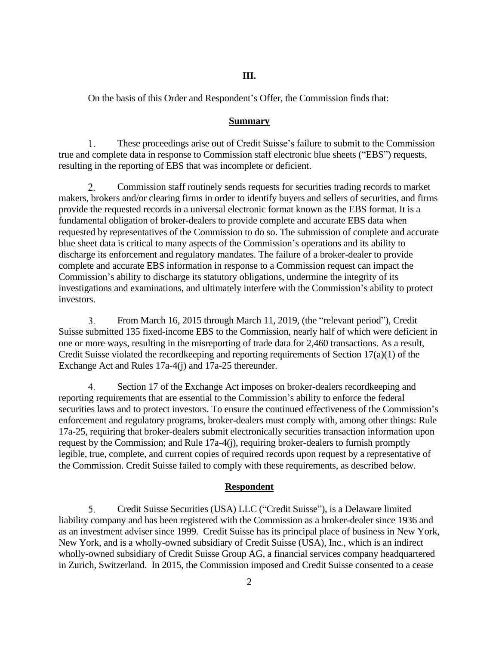## **III.**

On the basis of this Order and Respondent's Offer, the Commission finds that:

### **Summary**

 $\mathbf{l}$ . These proceedings arise out of Credit Suisse's failure to submit to the Commission true and complete data in response to Commission staff electronic blue sheets ("EBS") requests, resulting in the reporting of EBS that was incomplete or deficient.

2. Commission staff routinely sends requests for securities trading records to market makers, brokers and/or clearing firms in order to identify buyers and sellers of securities, and firms provide the requested records in a universal electronic format known as the EBS format. It is a fundamental obligation of broker-dealers to provide complete and accurate EBS data when requested by representatives of the Commission to do so. The submission of complete and accurate blue sheet data is critical to many aspects of the Commission's operations and its ability to discharge its enforcement and regulatory mandates. The failure of a broker-dealer to provide complete and accurate EBS information in response to a Commission request can impact the Commission's ability to discharge its statutory obligations, undermine the integrity of its investigations and examinations, and ultimately interfere with the Commission's ability to protect investors.

From March 16, 2015 through March 11, 2019, (the "relevant period"), Credit 3. Suisse submitted 135 fixed-income EBS to the Commission, nearly half of which were deficient in one or more ways, resulting in the misreporting of trade data for 2,460 transactions. As a result, Credit Suisse violated the recordkeeping and reporting requirements of Section 17(a)(1) of the Exchange Act and Rules 17a-4(j) and 17a-25 thereunder.

 $4.$ Section 17 of the Exchange Act imposes on broker-dealers recordkeeping and reporting requirements that are essential to the Commission's ability to enforce the federal securities laws and to protect investors. To ensure the continued effectiveness of the Commission's enforcement and regulatory programs, broker-dealers must comply with, among other things: Rule 17a-25, requiring that broker-dealers submit electronically securities transaction information upon request by the Commission; and Rule 17a-4(j), requiring broker-dealers to furnish promptly legible, true, complete, and current copies of required records upon request by a representative of the Commission. Credit Suisse failed to comply with these requirements, as described below.

#### **Respondent**

Credit Suisse Securities (USA) LLC ("Credit Suisse"), is a Delaware limited 5. liability company and has been registered with the Commission as a broker-dealer since 1936 and as an investment adviser since 1999. Credit Suisse has its principal place of business in New York, New York, and is a wholly-owned subsidiary of Credit Suisse (USA), Inc., which is an indirect wholly-owned subsidiary of Credit Suisse Group AG, a financial services company headquartered in Zurich, Switzerland. In 2015, the Commission imposed and Credit Suisse consented to a cease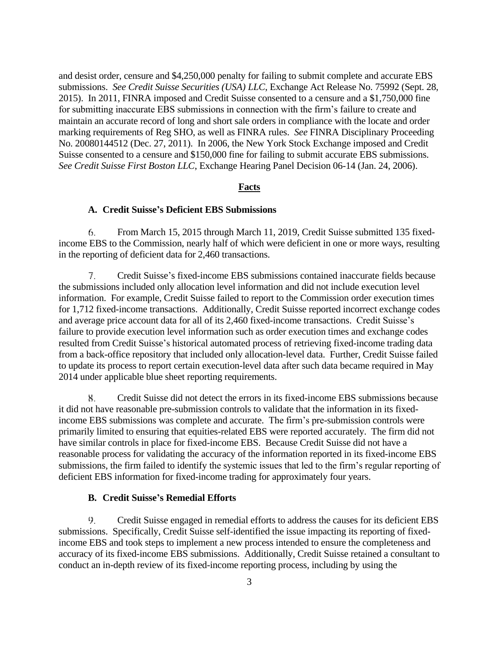and desist order, censure and \$4,250,000 penalty for failing to submit complete and accurate EBS submissions. *See Credit Suisse Securities (USA) LLC*, Exchange Act Release No. 75992 (Sept. 28, 2015). In 2011, FINRA imposed and Credit Suisse consented to a censure and a \$1,750,000 fine for submitting inaccurate EBS submissions in connection with the firm's failure to create and maintain an accurate record of long and short sale orders in compliance with the locate and order marking requirements of Reg SHO, as well as FINRA rules. *See* FINRA Disciplinary Proceeding No. 20080144512 (Dec. 27, 2011). In 2006, the New York Stock Exchange imposed and Credit Suisse consented to a censure and \$150,000 fine for failing to submit accurate EBS submissions. *See Credit Suisse First Boston LLC*, Exchange Hearing Panel Decision 06-14 (Jan. 24, 2006).

## **Facts**

## **A. Credit Suisse's Deficient EBS Submissions**

6. From March 15, 2015 through March 11, 2019, Credit Suisse submitted 135 fixedincome EBS to the Commission, nearly half of which were deficient in one or more ways, resulting in the reporting of deficient data for 2,460 transactions.

 $7<sub>1</sub>$ Credit Suisse's fixed-income EBS submissions contained inaccurate fields because the submissions included only allocation level information and did not include execution level information. For example, Credit Suisse failed to report to the Commission order execution times for 1,712 fixed-income transactions. Additionally, Credit Suisse reported incorrect exchange codes and average price account data for all of its 2,460 fixed-income transactions. Credit Suisse's failure to provide execution level information such as order execution times and exchange codes resulted from Credit Suisse's historical automated process of retrieving fixed-income trading data from a back-office repository that included only allocation-level data. Further, Credit Suisse failed to update its process to report certain execution-level data after such data became required in May 2014 under applicable blue sheet reporting requirements.

Χ. Credit Suisse did not detect the errors in its fixed-income EBS submissions because it did not have reasonable pre-submission controls to validate that the information in its fixedincome EBS submissions was complete and accurate. The firm's pre-submission controls were primarily limited to ensuring that equities-related EBS were reported accurately. The firm did not have similar controls in place for fixed-income EBS. Because Credit Suisse did not have a reasonable process for validating the accuracy of the information reported in its fixed-income EBS submissions, the firm failed to identify the systemic issues that led to the firm's regular reporting of deficient EBS information for fixed-income trading for approximately four years.

## **B. Credit Suisse's Remedial Efforts**

Ω. Credit Suisse engaged in remedial efforts to address the causes for its deficient EBS submissions. Specifically, Credit Suisse self-identified the issue impacting its reporting of fixedincome EBS and took steps to implement a new process intended to ensure the completeness and accuracy of its fixed-income EBS submissions. Additionally, Credit Suisse retained a consultant to conduct an in-depth review of its fixed-income reporting process, including by using the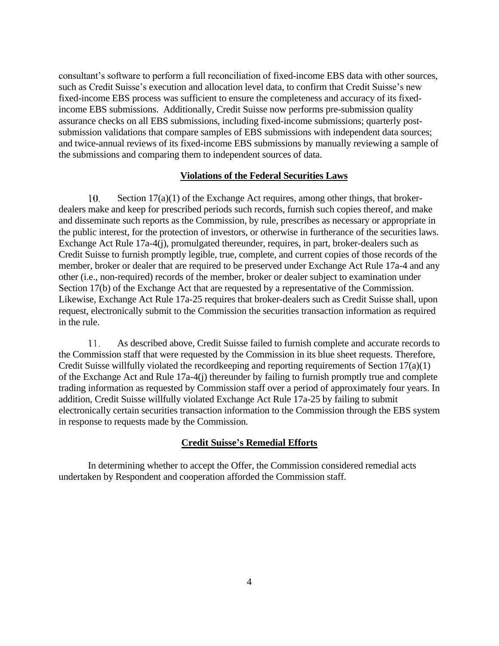consultant's software to perform a full reconciliation of fixed-income EBS data with other sources, such as Credit Suisse's execution and allocation level data, to confirm that Credit Suisse's new fixed-income EBS process was sufficient to ensure the completeness and accuracy of its fixedincome EBS submissions. Additionally, Credit Suisse now performs pre-submission quality assurance checks on all EBS submissions, including fixed-income submissions; quarterly postsubmission validations that compare samples of EBS submissions with independent data sources; and twice-annual reviews of its fixed-income EBS submissions by manually reviewing a sample of the submissions and comparing them to independent sources of data.

### **Violations of the Federal Securities Laws**

10. Section 17(a)(1) of the Exchange Act requires, among other things, that brokerdealers make and keep for prescribed periods such records, furnish such copies thereof, and make and disseminate such reports as the Commission, by rule, prescribes as necessary or appropriate in the public interest, for the protection of investors, or otherwise in furtherance of the securities laws. Exchange Act Rule 17a-4(j), promulgated thereunder, requires, in part, broker-dealers such as Credit Suisse to furnish promptly legible, true, complete, and current copies of those records of the member, broker or dealer that are required to be preserved under Exchange Act Rule 17a-4 and any other (i.e., non-required) records of the member, broker or dealer subject to examination under Section 17(b) of the Exchange Act that are requested by a representative of the Commission. Likewise, Exchange Act Rule 17a-25 requires that broker-dealers such as Credit Suisse shall, upon request, electronically submit to the Commission the securities transaction information as required in the rule.

 $11.$ As described above, Credit Suisse failed to furnish complete and accurate records to the Commission staff that were requested by the Commission in its blue sheet requests. Therefore, Credit Suisse willfully violated the recordkeeping and reporting requirements of Section 17(a)(1) of the Exchange Act and Rule 17a-4(j) thereunder by failing to furnish promptly true and complete trading information as requested by Commission staff over a period of approximately four years. In addition, Credit Suisse willfully violated Exchange Act Rule 17a-25 by failing to submit electronically certain securities transaction information to the Commission through the EBS system in response to requests made by the Commission.

# **Credit Suisse's Remedial Efforts**

In determining whether to accept the Offer, the Commission considered remedial acts undertaken by Respondent and cooperation afforded the Commission staff.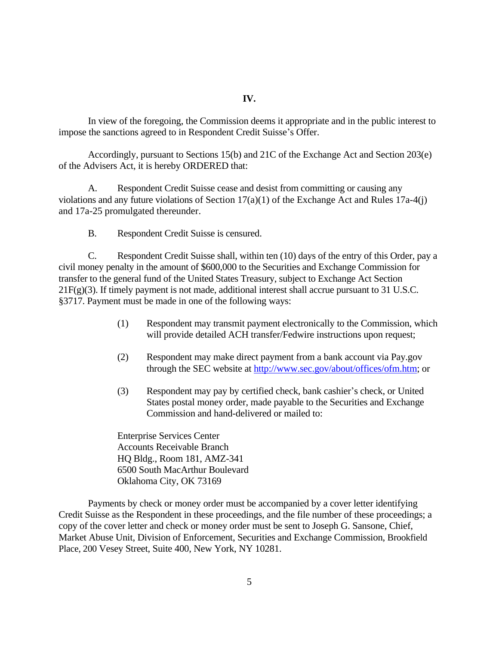In view of the foregoing, the Commission deems it appropriate and in the public interest to impose the sanctions agreed to in Respondent Credit Suisse's Offer.

Accordingly, pursuant to Sections 15(b) and 21C of the Exchange Act and Section 203(e) of the Advisers Act, it is hereby ORDERED that:

A. Respondent Credit Suisse cease and desist from committing or causing any violations and any future violations of Section 17(a)(1) of the Exchange Act and Rules 17a-4(j) and 17a-25 promulgated thereunder.

B. Respondent Credit Suisse is censured.

C. Respondent Credit Suisse shall, within ten (10) days of the entry of this Order, pay a civil money penalty in the amount of \$600,000 to the Securities and Exchange Commission for transfer to the general fund of the United States Treasury, subject to Exchange Act Section  $21F(g)(3)$ . If timely payment is not made, additional interest shall accrue pursuant to 31 U.S.C. §3717. Payment must be made in one of the following ways:

- (1) Respondent may transmit payment electronically to the Commission, which will provide detailed ACH transfer/Fedwire instructions upon request;
- (2) Respondent may make direct payment from a bank account via Pay.gov through the SEC website at [http://www.sec.gov/about/offices/ofm.htm;](http://www.sec.gov/about/offices/ofm.htm) or
- (3) Respondent may pay by certified check, bank cashier's check, or United States postal money order, made payable to the Securities and Exchange Commission and hand-delivered or mailed to:

Enterprise Services Center Accounts Receivable Branch HQ Bldg., Room 181, AMZ-341 6500 South MacArthur Boulevard Oklahoma City, OK 73169

Payments by check or money order must be accompanied by a cover letter identifying Credit Suisse as the Respondent in these proceedings, and the file number of these proceedings; a copy of the cover letter and check or money order must be sent to Joseph G. Sansone, Chief, Market Abuse Unit, Division of Enforcement, Securities and Exchange Commission, Brookfield Place, 200 Vesey Street, Suite 400, New York, NY 10281.